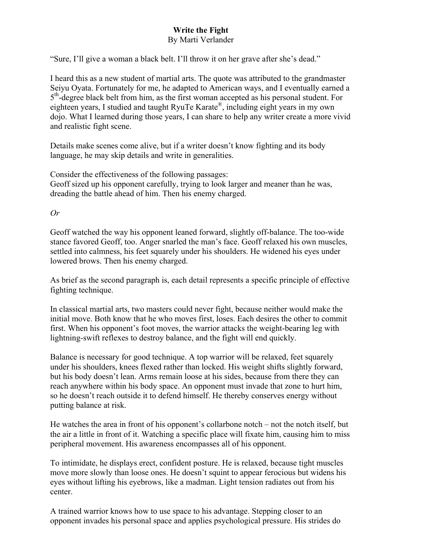## **Write the Fight**

## By Marti Verlander

"Sure, I'll give a woman a black belt. I'll throw it on her grave after she's dead."

I heard this as a new student of martial arts. The quote was attributed to the grandmaster Seiyu Oyata. Fortunately for me, he adapted to American ways, and I eventually earned a  $5<sup>th</sup>$ -degree black belt from him, as the first woman accepted as his personal student. For eighteen years, I studied and taught RyuTe Karate®, including eight years in my own dojo. What I learned during those years, I can share to help any writer create a more vivid and realistic fight scene.

Details make scenes come alive, but if a writer doesn't know fighting and its body language, he may skip details and write in generalities.

Consider the effectiveness of the following passages: Geoff sized up his opponent carefully, trying to look larger and meaner than he was, dreading the battle ahead of him. Then his enemy charged.

*Or*

Geoff watched the way his opponent leaned forward, slightly off-balance. The too-wide stance favored Geoff, too. Anger snarled the man's face. Geoff relaxed his own muscles, settled into calmness, his feet squarely under his shoulders. He widened his eyes under lowered brows. Then his enemy charged.

As brief as the second paragraph is, each detail represents a specific principle of effective fighting technique.

In classical martial arts, two masters could never fight, because neither would make the initial move. Both know that he who moves first, loses. Each desires the other to commit first. When his opponent's foot moves, the warrior attacks the weight-bearing leg with lightning-swift reflexes to destroy balance, and the fight will end quickly.

Balance is necessary for good technique. A top warrior will be relaxed, feet squarely under his shoulders, knees flexed rather than locked. His weight shifts slightly forward, but his body doesn't lean. Arms remain loose at his sides, because from there they can reach anywhere within his body space. An opponent must invade that zone to hurt him, so he doesn't reach outside it to defend himself. He thereby conserves energy without putting balance at risk.

He watches the area in front of his opponent's collarbone notch – not the notch itself, but the air a little in front of it. Watching a specific place will fixate him, causing him to miss peripheral movement. His awareness encompasses all of his opponent.

To intimidate, he displays erect, confident posture. He is relaxed, because tight muscles move more slowly than loose ones. He doesn't squint to appear ferocious but widens his eyes without lifting his eyebrows, like a madman. Light tension radiates out from his center.

A trained warrior knows how to use space to his advantage. Stepping closer to an opponent invades his personal space and applies psychological pressure. His strides do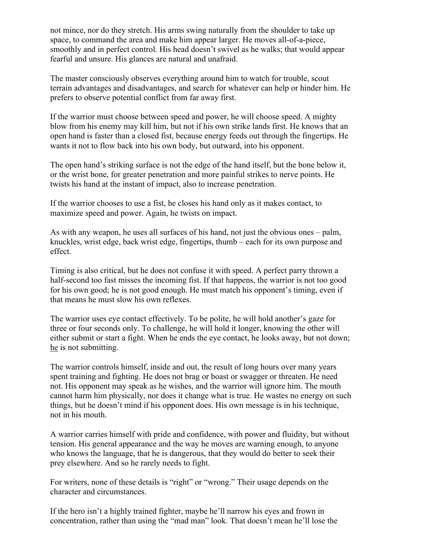not mince, nor do they stretch. His arms swing naturally from the shoulder to take up space, to command the area and make him appear larger. He moves all-of-a-piece, smoothly and in perfect control. His head doesn't swivel as he walks; that would appear fearful and unsure. His glances are natural and unafraid.

The master consciously observes everything around him to watch for trouble, scout terrain advantages and disadvantages, and search for whatever can help or hinder him. He prefers to observe potential conflict from far away first.

If the warrior must choose between speed and power, he will choose speed. A mighty blow from his enemy may kill him, but not if his own strike lands first. He knows that an open hand is faster than a closed fist, because energy feeds out through the fingertips. He wants it not to flow back into his own body, but outward, into his opponent.

The open hand's striking surface is not the edge of the hand itself, but the bone below it, or the wrist bone, for greater penetration and more painful strikes to nerve points. He twists his hand at the instant of impact, also to increase penetration.

If the warrior chooses to use a fist, he closes his hand only as it makes contact, to maximize speed and power. Again, he twists on impact.

As with any weapon, he uses all surfaces of his hand, not just the obvious ones – palm, knuckles, wrist edge, back wrist edge, fingertips, thumb – each for its own purpose and effect.

Timing is also critical, but he does not confuse it with speed. A perfect parry thrown a half-second too fast misses the incoming fist. If that happens, the warrior is not too good for his own good; he is not good enough. He must match his opponent's timing, even if that means he must slow his own reflexes.

The warrior uses eye contact effectively. To be polite, he will hold another's gaze for three or four seconds only. To challenge, he will hold it longer, knowing the other will either submit or start a fight. When he ends the eye contact, he looks away, but not down; he is not submitting.

The warrior controls himself, inside and out, the result of long hours over many years spent training and fighting. He does not brag or boast or swagger or threaten. He need not. His opponent may speak as he wishes, and the warrior will ignore him. The mouth cannot harm him physically, nor does it change what is true. He wastes no energy on such things, but he doesn't mind if his opponent does. His own message is in his technique, not in his mouth.

A warrior carries himself with pride and confidence, with power and fluidity, but without tension. His general appearance and the way he moves are warning enough, to anyone who knows the language, that he is dangerous, that they would do better to seek their prey elsewhere. And so he rarely needs to fight.

For writers, none of these details is "right" or "wrong." Their usage depends on the character and circumstances.

If the hero isn't a highly trained fighter, maybe he'll narrow his eyes and frown in concentration, rather than using the "mad man" look. That doesn't mean he'll lose the